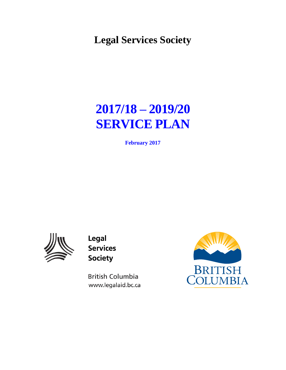**Legal Services Society** 

# **2017/18 – 2019/20 SERVICE PLAN**

**February 2017** 



Legal **Services Society** 

**British Columbia** www.legalaid.bc.ca

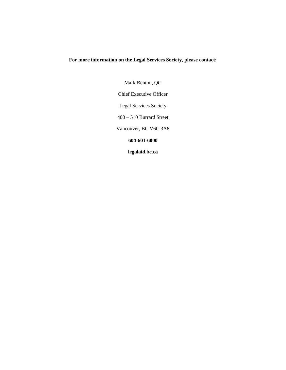#### **For more information on the Legal Services Society, please contact:**

Mark Benton, QC Chief Executive Officer Legal Services Society 400 – 510 Burrard Street Vancouver, BC V6C 3A8 **604-601-6000 legalaid.bc.ca**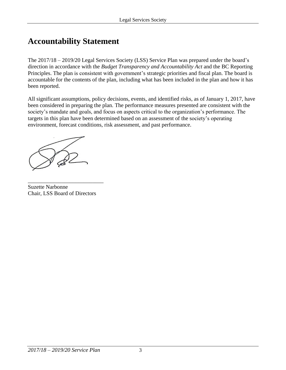## **Accountability Statement**

The 2017/18 – 2019/20 Legal Services Society (LSS) Service Plan was prepared under the board's direction in accordance with the *Budget Transparency and Accountability Act* and the BC Reporting Principles. The plan is consistent with government's strategic priorities and fiscal plan. The board is accountable for the contents of the plan, including what has been included in the plan and how it has been reported.

All significant assumptions, policy decisions, events, and identified risks, as of January 1, 2017, have been considered in preparing the plan. The performance measures presented are consistent with the society's mandate and goals, and focus on aspects critical to the organization's performance. The targets in this plan have been determined based on an assessment of the society's operating environment, forecast conditions, risk assessment, and past performance.

Suzette Narbonne Chair, LSS Board of Directors

\_\_\_\_\_\_\_\_\_\_\_\_\_\_\_\_\_\_\_\_\_\_\_\_\_\_\_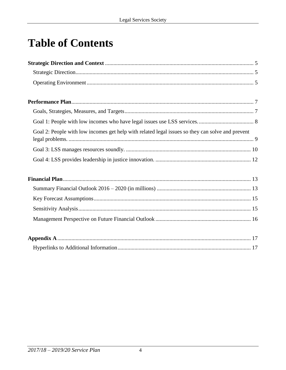# **Table of Contents**

| Goal 2: People with low incomes get help with related legal issues so they can solve and prevent |
|--------------------------------------------------------------------------------------------------|
|                                                                                                  |
|                                                                                                  |
|                                                                                                  |
|                                                                                                  |
|                                                                                                  |
|                                                                                                  |
|                                                                                                  |
|                                                                                                  |
|                                                                                                  |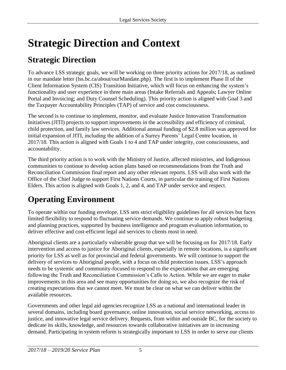# <span id="page-4-0"></span>**Strategic Direction and Context**

# **Strategic Direction**

To advance LSS strategic goals, we will be working on three priority actions for 2017/18, as outlined in our mandate letter (lss.bc.ca/about/ourMandate.php). The first is to implement Phase II of the Client Information System (CIS) Transition Initiative, which will focus on enhancing the system's functionality and user experience in three main areas (Intake Referrals and Appeals; Lawyer Online Portal and Invoicing; and Duty Counsel Scheduling). This priority action is aligned with Goal 3 and the Taxpayer Accountability Principles (TAP) of service and cost consciousness.

The second is to continue to implement, monitor, and evaluate Justice Innovation Transformation Initiatives (JITI) projects to support improvements in the accessibility and efficiency of criminal, child protection, and family law services. Additional annual funding of \$2.8 million was approved for initial expansion of JITI, including the addition of a Surrey Parents' Legal Centre location, in 2017/18. This action is aligned with Goals 1 to 4 and TAP under integrity, cost consciousness, and accountability.

The third priority action is to work with the Ministry of Justice, affected ministries, and Indigenous communities to continue to develop action plans based on recommendations from the Truth and Reconciliation Commission final report and any other relevant reports. LSS will also work with the Office of the Chief Judge to support First Nations Courts, in particular the training of First Nations Elders. This action is aligned with Goals 1, 2, and 4, and TAP under service and respect.

# **Operating Environment**

To operate within our funding envelope, LSS sets strict eligibility guidelines for all services but faces limited flexibility to respond to fluctuating service demands. We continue to apply robust budgeting and planning practices, supported by business intelligence and program evaluation information, to deliver effective and cost-efficient legal aid services to clients most in need.

Aboriginal clients are a particularly vulnerable group that we will be focusing on for 2017/18. Early intervention and access to justice for Aboriginal clients, especially in remote locations, is a significant priority for LSS as well as for provincial and federal governments. We will continue to support the delivery of services to Aboriginal people, with a focus on child protection issues. LSS's approach needs to be systemic and community-focused to respond to the expectations that are emerging following the Truth and Reconciliation Commission's Calls to Action. While we are eager to make improvements in this area and see many opportunities for doing so, we also recognize the risk of creating expectations that we cannot meet. We must be clear on what we can deliver within the available resources.

Governments and other legal aid agencies recognize LSS as a national and international leader in several domains, including board governance, online innovation, social service networking, access to justice, and innovative legal service delivery. Requests, from within and outside BC, for the society to dedicate its skills, knowledge, and resources towards collaborative initiatives are in increasing demand. Participating in system reform is strategically important to LSS in order to serve our clients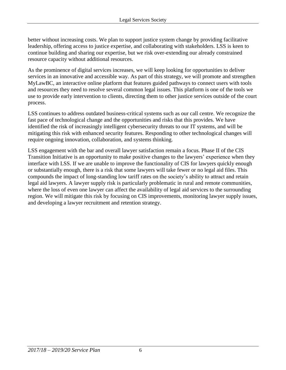better without increasing costs. We plan to support justice system change by providing facilitative leadership, offering access to justice expertise, and collaborating with stakeholders. LSS is keen to continue building and sharing our expertise, but we risk over-extending our already constrained resource capacity without additional resources.

As the prominence of digital services increases, we will keep looking for opportunities to deliver services in an innovative and accessible way. As part of this strategy, we will promote and strengthen MyLawBC, an interactive online platform that features guided pathways to connect users with tools and resources they need to resolve several common legal issues. This platform is one of the tools we use to provide early intervention to clients, directing them to other justice services outside of the court process.

LSS continues to address outdated business-critical systems such as our call centre. We recognize the fast pace of technological change and the opportunities and risks that this provides. We have identified the risk of increasingly intelligent cybersecurity threats to our IT systems, and will be mitigating this risk with enhanced security features. Responding to other technological changes will require ongoing innovation, collaboration, and systems thinking.

LSS engagement with the bar and overall lawyer satisfaction remain a focus. Phase II of the CIS Transition Initiative is an opportunity to make positive changes to the lawyers' experience when they interface with LSS. If we are unable to improve the functionality of CIS for lawyers quickly enough or substantially enough, there is a risk that some lawyers will take fewer or no legal aid files. This compounds the impact of long-standing low tariff rates on the society's ability to attract and retain legal aid lawyers. A lawyer supply risk is particularly problematic in rural and remote communities, where the loss of even one lawyer can affect the availability of legal aid services to the surrounding region. We will mitigate this risk by focusing on CIS improvements, monitoring lawyer supply issues, and developing a lawyer recruitment and retention strategy.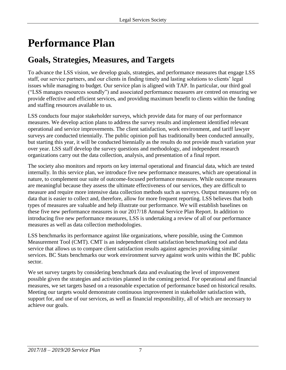# <span id="page-6-0"></span>**Performance Plan**

# **Goals, Strategies, Measures, and Targets**

To advance the LSS vision, we develop goals, strategies, and performance measures that engage LSS staff, our service partners, and our clients in finding timely and lasting solutions to clients' legal issues while managing to budget. Our service plan is aligned with TAP. In particular, our third goal ("LSS manages resources soundly") and associated performance measures are centred on ensuring we provide effective and efficient services, and providing maximum benefit to clients within the funding and staffing resources available to us.

LSS conducts four major stakeholder surveys, which provide data for many of our performance measures. We develop action plans to address the survey results and implement identified relevant operational and service improvements. The client satisfaction, work environment, and tariff lawyer surveys are conducted triennially. The public opinion poll has traditionally been conducted annually, but starting this year, it will be conducted biennially as the results do not provide much variation year over year. LSS staff develop the survey questions and methodology, and independent research organizations carry out the data collection, analysis, and presentation of a final report.

The society also monitors and reports on key internal operational and financial data, which are tested internally. In this service plan, we introduce five new performance measures, which are operational in nature, to complement our suite of outcome-focused performance measures. While outcome measures are meaningful because they assess the ultimate effectiveness of our services, they are difficult to measure and require more intensive data collection methods such as surveys. Output measures rely on data that is easier to collect and, therefore, allow for more frequent reporting. LSS believes that both types of measures are valuable and help illustrate our performance. We will establish baselines on these five new performance measures in our 2017/18 Annual Service Plan Report. In addition to introducing five new performance measures, LSS is undertaking a review of all of our performance measures as well as data collection methodologies.

LSS benchmarks its performance against like organizations, where possible, using the Common Measurement Tool (CMT). CMT is an independent client satisfaction benchmarking tool and data service that allows us to compare client satisfaction results against agencies providing similar services. BC Stats benchmarks our work environment survey against work units within the BC public sector.

We set survey targets by considering benchmark data and evaluating the level of improvement possible given the strategies and activities planned in the coming period. For operational and financial measures, we set targets based on a reasonable expectation of performance based on historical results. Meeting our targets would demonstrate continuous improvement in stakeholder satisfaction with, support for, and use of our services, as well as financial responsibility, all of which are necessary to achieve our goals.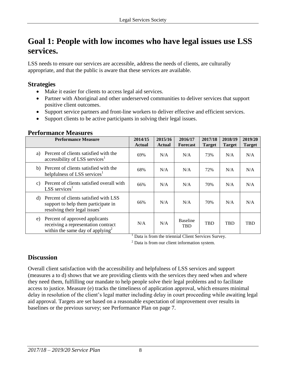## <span id="page-7-0"></span>**Goal 1: People with low incomes who have legal issues use LSS services.**

LSS needs to ensure our services are accessible, address the needs of clients, are culturally appropriate, and that the public is aware that these services are available.

## **Strategies**

- Make it easier for clients to access legal aid services.
- Partner with Aboriginal and other underserved communities to deliver services that support positive client outcomes.
- Support service partners and front-line workers to deliver effective and efficient services.
- Support clients to be active participants in solving their legal issues.

| <b>Performance Measure</b>                                                                                                      | 2014/15<br><b>Actual</b> | 2015/16<br><b>Actual</b> | 2016/17<br><b>Forecast</b> | 2017/18<br><b>Target</b> | 2018/19<br><b>Target</b> | 2019/20<br><b>Target</b> |
|---------------------------------------------------------------------------------------------------------------------------------|--------------------------|--------------------------|----------------------------|--------------------------|--------------------------|--------------------------|
| Percent of clients satisfied with the<br>a)<br>accessibility of LSS services <sup>1</sup>                                       | 69%                      | N/A                      | N/A                        | 73%                      | N/A                      | N/A                      |
| Percent of clients satisfied with the<br>b)<br>helpfulness of LSS services <sup>1</sup>                                         | 68%                      | N/A                      | N/A                        | 72%                      | N/A                      | N/A                      |
| Percent of clients satisfied overall with<br>$\mathcal{C}$ )<br>$LSS$ services <sup>1</sup>                                     | 66%                      | N/A                      | N/A                        | 70%                      | N/A                      | N/A                      |
| Percent of clients satisfied with LSS<br>d)<br>support to help them participate in<br>resolving their legal issues <sup>1</sup> | 66%                      | N/A                      | N/A                        | 70%                      | N/A                      | N/A                      |
| Percent of approved applicants<br>e)<br>receiving a representation contract<br>within the same day of applying <sup>2</sup>     | N/A                      | N/A                      | <b>Baseline</b><br>TBD     | <b>TBD</b>               | <b>TBD</b>               | <b>TBD</b>               |

### **Performance Measures**

<sup>1</sup> Data is from the triennial Client Services Survey.

<sup>2</sup> Data is from our client information system.

## **Discussion**

Overall client satisfaction with the accessibility and helpfulness of LSS services and support (measures a to d) shows that we are providing clients with the services they need when and where they need them, fulfilling our mandate to help people solve their legal problems and to facilitate access to justice. Measure (e) tracks the timeliness of application approval, which ensures minimal delay in resolution of the client's legal matter including delay in court proceeding while awaiting legal aid approval. Targets are set based on a reasonable expectation of improvement over results in baselines or the previous survey; see Performance Plan on page 7.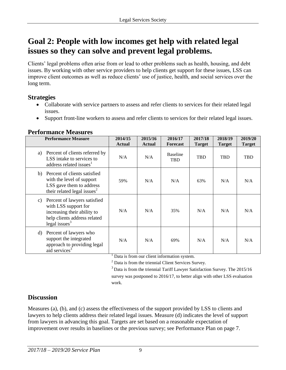## <span id="page-8-0"></span>**Goal 2: People with low incomes get help with related legal issues so they can solve and prevent legal problems.**

Clients' legal problems often arise from or lead to other problems such as health, housing, and debt issues. By working with other service providers to help clients get support for these issues, LSS can improve client outcomes as well as reduce clients' use of justice, health, and social services over the long term.

## **Strategies**

- Collaborate with service partners to assess and refer clients to services for their related legal issues.
- Support front-line workers to assess and refer clients to services for their related legal issues.

| <b>Performance Measure</b>                                                                                                                    | 2014/15<br><b>Actual</b> | 2015/16<br><b>Actual</b> | 2016/17<br><b>Forecast</b> | 2017/18<br><b>Target</b> | 2018/19<br><b>Target</b> | 2019/20<br><b>Target</b> |
|-----------------------------------------------------------------------------------------------------------------------------------------------|--------------------------|--------------------------|----------------------------|--------------------------|--------------------------|--------------------------|
| Percent of clients referred by<br>a)<br>LSS intake to services to<br>address related issues <sup>1</sup>                                      | N/A                      | N/A                      | <b>Baseline</b><br>TBD     | TBD                      | <b>TBD</b>               | <b>TBD</b>               |
| Percent of clients satisfied<br>b)<br>with the level of support<br>LSS gave them to address<br>their related legal issues <sup>2</sup>        | 59%                      | N/A                      | N/A                        | 63%                      | N/A                      | N/A                      |
| Percent of lawyers satisfied<br>C)<br>with LSS support for<br>increasing their ability to<br>help clients address related<br>legal issues $3$ | N/A                      | N/A                      | 35%                        | N/A                      | N/A                      | N/A                      |
| Percent of lawyers who<br>d)<br>support the integrated<br>approach to providing legal<br>aid services <sup>3</sup>                            | N/A                      | N/A                      | 69%                        | N/A                      | N/A                      | N/A                      |

### **Performance Measures**

<sup>1</sup> Data is from our client information system.

<sup>2</sup> Data is from the triennial Client Services Survey.

 $3$  Data is from the triennial Tariff Lawyer Satisfaction Survey. The 2015/16 survey was postponed to 2016/17, to better align with other LSS evaluation work.

## **Discussion**

Measures (a), (b), and (c) assess the effectiveness of the support provided by LSS to clients and lawyers to help clients address their related legal issues. Measure (d) indicates the level of support from lawyers in advancing this goal. Targets are set based on a reasonable expectation of improvement over results in baselines or the previous survey; see Performance Plan on page 7.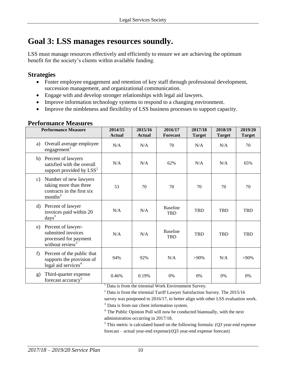## <span id="page-9-0"></span>**Goal 3: LSS manages resources soundly.**

LSS must manage resources effectively and efficiently to ensure we are achieving the optimum benefit for the society's clients within available funding.

### **Strategies**

- Foster employee engagement and retention of key staff through professional development, succession management, and organizational communication.
- Engage with and develop stronger relationships with legal aid lawyers.
- Improve information technology systems to respond to a changing environment.
- Improve the nimbleness and flexibility of LSS business processes to support capacity.

#### **Performance Measures**

| <b>Performance Measure</b>                                                                                 | 2014/15<br><b>Actual</b> | 2015/16<br><b>Actual</b> | 2016/17<br><b>Forecast</b>    | 2017/18<br><b>Target</b> | 2018/19<br><b>Target</b> | 2019/20<br><b>Target</b> |
|------------------------------------------------------------------------------------------------------------|--------------------------|--------------------------|-------------------------------|--------------------------|--------------------------|--------------------------|
| Overall average employee<br>a)<br>engagement <sup>1</sup>                                                  | N/A                      | N/A                      | 70                            | N/A                      | N/A                      | 70                       |
| Percent of lawyers<br>b)<br>satisfied with the overall<br>support provided by $LSS^2$                      | N/A                      | N/A                      | 62%                           | N/A                      | N/A                      | 65%                      |
| Number of new lawyers<br>c)<br>taking more than three<br>contracts in the first six<br>months <sup>3</sup> | 53                       | 70                       | 70                            | 70                       | 70                       | 70                       |
| Percent of lawyer<br>d)<br>invoices paid within 20<br>$\langle \text{days}^3 \rangle$                      | N/A                      | N/A                      | <b>Baseline</b><br><b>TBD</b> | <b>TBD</b>               | <b>TBD</b>               | <b>TBD</b>               |
| Percent of lawyer-<br>e)<br>submitted invoices<br>processed for payment<br>without review <sup>3</sup>     | N/A                      | N/A                      | <b>Baseline</b><br><b>TBD</b> | <b>TBD</b>               | <b>TBD</b>               | <b>TBD</b>               |
| Percent of the public that<br>f)<br>supports the provision of<br>legal aid services <sup>4</sup>           | 94%                      | 92%                      | N/A                           | $>90\%$                  | N/A                      | $>90\%$                  |
| Third-quarter expense<br>$\mathbf{g}$<br>forecast accuracy <sup>5</sup>                                    | 0.46%                    | 0.19%                    | 0%                            | $0\%$                    | 0%                       | 0%                       |

<sup>1</sup> Data is from the triennial Work Environment Survey.

 $2$  Data is from the triennial Tariff Lawyer Satisfaction Survey. The 2015/16

survey was postponed to 2016/17, to better align with other LSS evaluation work.

<sup>3</sup> Data is from our client information system.

<sup>4</sup>The Public Opinion Poll will now be conducted biannually, with the next administration occurring in 2017/18.

 $5$  This metric is calculated based on the following formula: (Q3 year-end expense forecast – actual year-end expense)/(Q3 year-end expense forecast)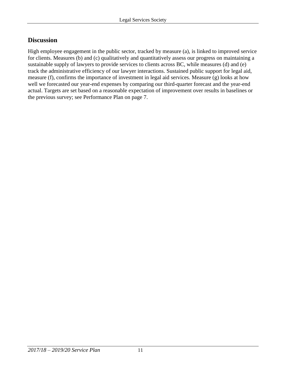## **Discussion**

High employee engagement in the public sector, tracked by measure (a), is linked to improved service for clients. Measures (b) and (c) qualitatively and quantitatively assess our progress on maintaining a sustainable supply of lawyers to provide services to clients across BC, while measures (d) and (e) track the administrative efficiency of our lawyer interactions. Sustained public support for legal aid, measure (f), confirms the importance of investment in legal aid services. Measure (g) looks at how well we forecasted our year-end expenses by comparing our third-quarter forecast and the year-end actual. Targets are set based on a reasonable expectation of improvement over results in baselines or the previous survey; see Performance Plan on page 7.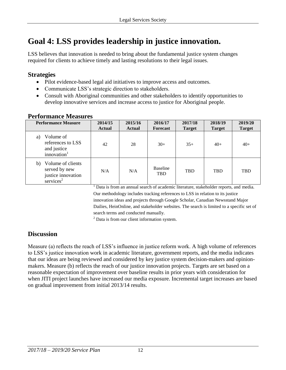# <span id="page-11-0"></span>**Goal 4: LSS provides leadership in justice innovation.**

LSS believes that innovation is needed to bring about the fundamental justice system changes required for clients to achieve timely and lasting resolutions to their legal issues.

### **Strategies**

- Pilot evidence-based legal aid initiatives to improve access and outcomes.
- Communicate LSS's strategic direction to stakeholders.
- Consult with Aboriginal communities and other stakeholders to identify opportunities to develop innovative services and increase access to justice for Aboriginal people.

| <b>Performance Measure</b>                                                                 | 2014/15<br><b>Actual</b> | 2015/16<br><b>Actual</b> | 2016/17<br><b>Forecast</b>    | 2017/18<br><b>Target</b> | 2018/19<br><b>Target</b> | 2019/20<br><b>Target</b> |
|--------------------------------------------------------------------------------------------|--------------------------|--------------------------|-------------------------------|--------------------------|--------------------------|--------------------------|
| Volume of<br>a)<br>references to LSS<br>and justice<br>innovation <sup>1</sup>             | 42                       | 28                       | $30+$                         | $35+$                    | $40+$                    | $40+$                    |
| Volume of clients<br>b)<br>served by new<br>justice innovation<br>$s$ ervices <sup>2</sup> | N/A                      | N/A                      | <b>Baseline</b><br><b>TBD</b> | <b>TBD</b>               | <b>TBD</b>               | <b>TBD</b>               |

### **Performance Measures**

 $1$  Data is from an annual search of academic literature, stakeholder reports, and media. Our methodology includes tracking references to LSS in relation to its justice innovation ideas and projects through Google Scholar, Canadian Newsstand Major Dailies, HeinOnline, and stakeholder websites. The search is limited to a specific set of search terms and conducted manually.

 $2$  Data is from our client information system.

## **Discussion**

Measure (a) reflects the reach of LSS's influence in justice reform work. A high volume of references to LSS's justice innovation work in academic literature, government reports, and the media indicates that our ideas are being reviewed and considered by key justice system decision-makers and opinionmakers. Measure (b) reflects the reach of our justice innovation projects. Targets are set based on a reasonable expectation of improvement over baseline results in prior years with consideration for when JITI project launches have increased our media exposure. Incremental target increases are based on gradual improvement from initial 2013/14 results.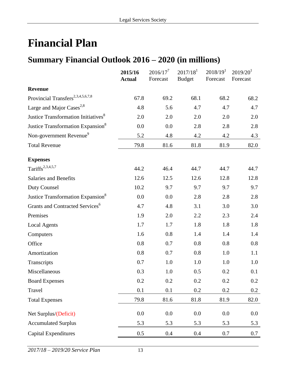# <span id="page-12-0"></span>**Financial Plan**

## **Summary Financial Outlook 2016 – 2020 (in millions)**

|                                                 | 2015/16<br><b>Actual</b> | $2016/17^7$<br>Forecast | 2017/18 <sup>1</sup><br><b>Budget</b> | 2018/19 <sup>1</sup><br>Forecast | 2019/20 <sup>1</sup><br>Forecast |
|-------------------------------------------------|--------------------------|-------------------------|---------------------------------------|----------------------------------|----------------------------------|
| <b>Revenue</b>                                  |                          |                         |                                       |                                  |                                  |
| Provincial Transfers <sup>2,3,4,5,6,7,8</sup>   | 67.8                     | 69.2                    | 68.1                                  | 68.2                             | 68.2                             |
| Large and Major Cases <sup>2,8</sup>            | 4.8                      | 5.6                     | 4.7                                   | 4.7                              | 4.7                              |
| Justice Transformation Initiatives <sup>8</sup> | 2.0                      | 2.0                     | 2.0                                   | 2.0                              | 2.0                              |
| Justice Transformation Expansion <sup>8</sup>   | 0.0                      | 0.0                     | 2.8                                   | 2.8                              | 2.8                              |
| Non-government Revenue <sup>9</sup>             | 5.2                      | 4.8                     | 4.2                                   | 4.2                              | 4.3                              |
| <b>Total Revenue</b>                            | 79.8                     | 81.6                    | 81.8                                  | 81.9                             | 82.0                             |
| <b>Expenses</b>                                 |                          |                         |                                       |                                  |                                  |
| Tariffs <sup>2,3,4,5,7</sup>                    | 44.2                     | 46.4                    | 44.7                                  | 44.7                             | 44.7                             |
| <b>Salaries and Benefits</b>                    | 12.6                     | 12.5                    | 12.6                                  | 12.8                             | 12.8                             |
| Duty Counsel                                    | 10.2                     | 9.7                     | 9.7                                   | 9.7                              | 9.7                              |
| Justice Transformation Expansion <sup>8</sup>   | 0.0                      | 0.0                     | 2.8                                   | 2.8                              | 2.8                              |
| Grants and Contracted Services <sup>6</sup>     | 4.7                      | 4.8                     | 3.1                                   | 3.0                              | 3.0                              |
| Premises                                        | 1.9                      | 2.0                     | 2.2                                   | 2.3                              | 2.4                              |
| <b>Local Agents</b>                             | 1.7                      | 1.7                     | 1.8                                   | 1.8                              | 1.8                              |
| Computers                                       | 1.6                      | 0.8                     | 1.4                                   | 1.4                              | 1.4                              |
| Office                                          | 0.8                      | 0.7                     | 0.8                                   | 0.8                              | 0.8                              |
| Amortization                                    | 0.8                      | 0.7                     | 0.8                                   | 1.0                              | 1.1                              |
| Transcripts                                     | 0.7                      | 1.0                     | 1.0                                   | 1.0                              | 1.0                              |
| Miscellaneous                                   | 0.3                      | 1.0                     | 0.5                                   | 0.2                              | 0.1                              |
| <b>Board Expenses</b>                           | $0.2\,$                  | 0.2                     | 0.2                                   | 0.2                              | $0.2\,$                          |
| Travel                                          | 0.1                      | 0.1                     | $0.2\,$                               | 0.2                              | $0.2\,$                          |
| <b>Total Expenses</b>                           | 79.8                     | 81.6                    | 81.8                                  | 81.9                             | 82.0                             |
| Net Surplus/(Deficit)                           | 0.0                      | 0.0                     | 0.0                                   | 0.0                              | 0.0                              |
| <b>Accumulated Surplus</b>                      | 5.3                      | 5.3                     | 5.3                                   | 5.3                              | 5.3                              |
| <b>Capital Expenditures</b>                     | 0.5                      | 0.4                     | 0.4                                   | $0.7\,$                          | 0.7                              |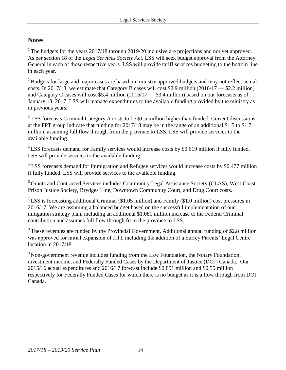## **Notes**

<sup>1</sup> The budgets for the years  $2017/18$  through  $2019/20$  inclusive are projections and not yet approved. As per section 18 of the *Legal Services Society Act*, LSS will seek budget approval from the Attorney General in each of those respective years. LSS will provide tariff services budgeting to the bottom line in each year.

<sup>2</sup> Budgets for large and major cases are based on ministry approved budgets and may not reflect actual costs. In 2017/18, we estimate that Category B cases will cost \$2.9 million  $(2016/17 - $2.2$  million) and Category C cases will cost \$5.4 million (2016/17 — \$3.4 million) based on our forecasts as of January 13, 2017. LSS will manage expenditures to the available funding provided by the ministry as in previous years.

 $3$  LSS forecasts Criminal Category A costs to be \$1.5 million higher than funded. Current discussions at the FPT group indicate that funding for 2017/18 may be in the range of an additional \$1.5 to \$1.7 million, assuming full flow through from the province to LSS. LSS will provide services to the available funding.

<sup>4</sup> LSS forecasts demand for Family services would increase costs by \$0.619 million if fully funded. LSS will provide services to the available funding.

 $<sup>5</sup>$  LSS forecasts demand for Immigration and Refugee services would increase costs by \$0.477 million</sup> if fully funded. LSS will provide services to the available funding.

<sup>6</sup> Grants and Contracted Services includes Community Legal Assistance Society (CLAS), West Coast Prison Justice Society, Brydges Line, Downtown Community Court, and Drug Court costs.

<sup>7</sup> LSS is forecasting additional Criminal (\$1.05 million) and Family (\$1.0 million) cost pressures in 2016/17. We are assuming a balanced budget based on the successful implementation of our mitigation strategy plan, including an additional \$1.081 million increase to the Federal Criminal contribution and assumes full flow through from the province to LSS.

<sup>8</sup> These revenues are funded by the Provincial Government. Additional annual funding of \$2.8 million was approved for initial expansion of JITI, including the addition of a Surrey Parents' Legal Centre location in 2017/18.

<sup>9</sup> Non-government revenue includes funding from the Law Foundation, the Notary Foundation, investment income, and Federally Funded Cases by the Department of Justice (DOJ) Canada. Our 2015/16 actual expenditures and 2016/17 forecast include \$0.891 million and \$0.55 million respectively for Federally Funded Cases for which there is no budget as it is a flow through from DOJ Canada.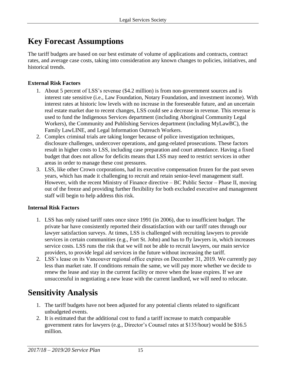## <span id="page-14-0"></span>**Key Forecast Assumptions**

The tariff budgets are based on our best estimate of volume of applications and contracts, contract rates, and average case costs, taking into consideration any known changes to policies, initiatives, and historical trends.

#### **External Risk Factors**

- 1. About 5 percent of LSS's revenue (\$4.2 million) is from non-government sources and is interest rate sensitive (i.e., Law Foundation, Notary Foundation, and investment income). With interest rates at historic low levels with no increase in the foreseeable future, and an uncertain real estate market due to recent changes, LSS could see a decrease in revenue. This revenue is used to fund the Indigenous Services department (including Aboriginal Community Legal Workers), the Community and Publishing Services department (including MyLawBC), the Family LawLINE, and Legal Information Outreach Workers.
- 2. Complex criminal trials are taking longer because of police investigation techniques, disclosure challenges, undercover operations, and gang-related prosecutions. These factors result in higher costs to LSS, including case preparation and court attendance. Having a fixed budget that does not allow for deficits means that LSS may need to restrict services in other areas in order to manage these cost pressures.
- 3. LSS, like other Crown corporations, had its executive compensation frozen for the past seven years, which has made it challenging to recruit and retain senior-level management staff. However, with the recent Ministry of Finance directive – BC Public Sector – Phase II, moving out of the freeze and providing further flexibility for both excluded executive and management staff will begin to help address this risk.

#### **Internal Risk Factors**

- 1. LSS has only raised tariff rates once since 1991 (in 2006), due to insufficient budget. The private bar have consistently reported their dissatisfaction with our tariff rates through our lawyer satisfaction surveys. At times, LSS is challenged with recruiting lawyers to provide services in certain communities (e.g., Fort St. John) and has to fly lawyers in, which increases service costs. LSS runs the risk that we will not be able to recruit lawyers, our main service providers, to provide legal aid services in the future without increasing the tariff.
- 2. LSS's lease on its Vancouver regional office expires on December 31, 2019. We currently pay less than market rate. If conditions remain the same, we will pay more whether we decide to renew the lease and stay in the current facility or move when the lease expires. If we are unsuccessful in negotiating a new lease with the current landlord, we will need to relocate.

# **Sensitivity Analysis**

- 1. The tariff budgets have not been adjusted for any potential clients related to significant unbudgeted events.
- 2. It is estimated that the additional cost to fund a tariff increase to match comparable government rates for lawyers (e.g., Director's Counsel rates at \$135/hour) would be \$16.5 million.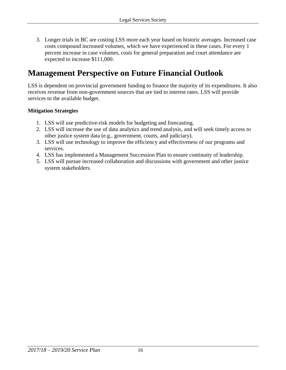<span id="page-15-0"></span>3. Longer trials in BC are costing LSS more each year based on historic averages. Increased case costs compound increased volumes, which we have experienced in these cases. For every 1 percent increase in case volumes, costs for general preparation and court attendance are expected to increase \$111,000.

## **Management Perspective on Future Financial Outlook**

LSS is dependent on provincial government funding to finance the majority of its expenditures. It also receives revenue from non-government sources that are tied to interest rates. LSS will provide services to the available budget.

#### **Mitigation Strategies**

- 1. LSS will use predictive-risk models for budgeting and forecasting.
- 2. LSS will increase the use of data analytics and trend analysis, and will seek timely access to other justice system data (e.g., government, courts, and judiciary).
- 3. LSS will use technology to improve the efficiency and effectiveness of our programs and services.
- 4. LSS has implemented a Management Succession Plan to ensure continuity of leadership.
- 5. LSS will pursue increased collaboration and discussions with government and other justice system stakeholders.